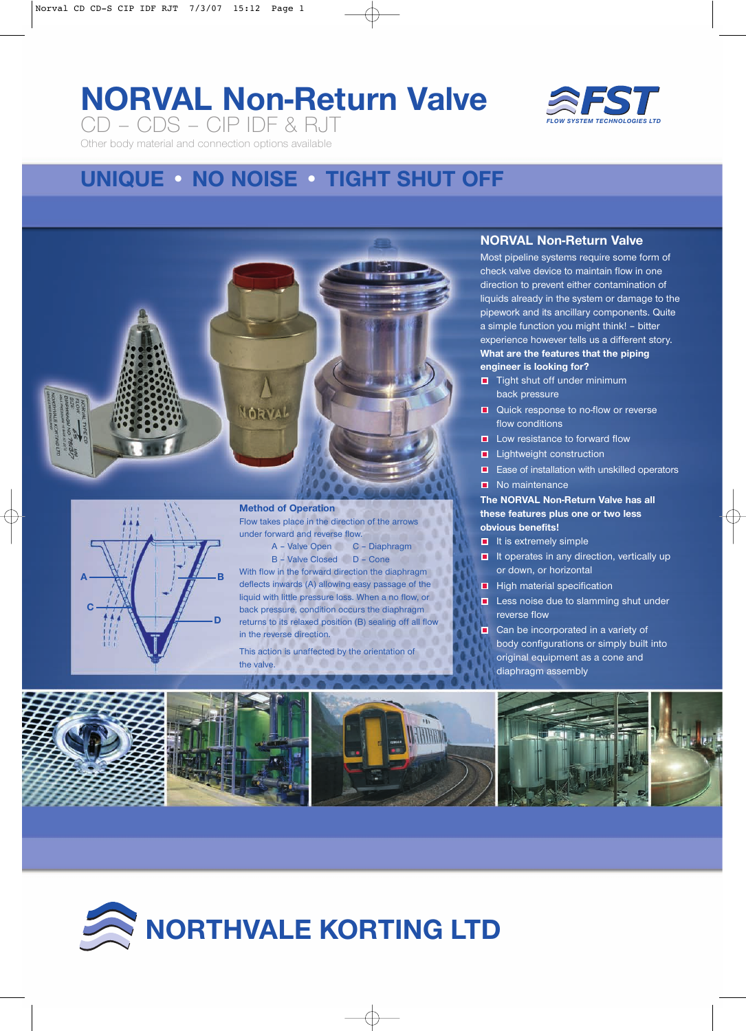# **NORVAL Non-Return Valve** CD – CDS – CIP IDF & RJT



Other body material and connection options available

## **UNIQUE • NO NOISE • TIGHT SHUT OFF**





A – Valve Open C – Diaphragm B – Valve Closed D – Cone

With flow in the forward direction the diaphragm deflects inwards (A) allowing easy passage of the liquid with little pressure loss. When a no flow, or back pressure, condition occurs the diaphragm returns to its relaxed position (B) sealing off all flow in the reverse direction.

This action is unaffected by the orientation of the valve.

### **NORVAL Non-Return Valve**

Most pipeline systems require some form of check valve device to maintain flow in one direction to prevent either contamination of liquids already in the system or damage to the pipework and its ancillary components. Quite a simple function you might think! – bitter experience however tells us a different story. **What are the features that the piping engineer is looking for?**

- $\Box$  Tight shut off under minimum back pressure
- **Quick response to no-flow or reverse** flow conditions
- $\blacksquare$  Low resistance to forward flow
- **Lightweight construction**
- **E** Ease of installation with unskilled operators
- No maintenance

#### **The NORVAL Non-Return Valve has all these features plus one or two less obvious benefits!**

- $\blacksquare$  It is extremely simple
- $\blacksquare$  It operates in any direction, vertically up or down, or horizontal
- $\blacksquare$  High material specification
- **Less noise due to slamming shut under** reverse flow
- Can be incorporated in a variety of body configurations or simply built into original equipment as a cone and diaphragm assembly